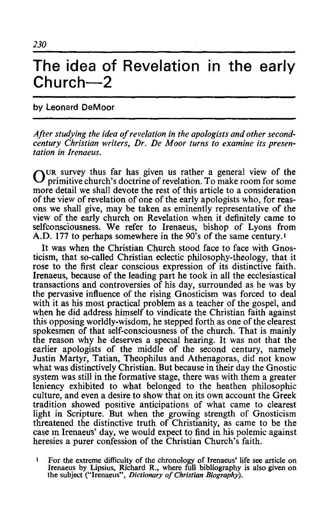## The idea of Revelation in the early **Church-2**

## by Leonard DeMoor

*After studying the idea of revelation in the apologists and other secondcentury Christian writers, Dr. De Moor turns to examine its presentation in Irenaeus.* 

 $\bigcap$ UR survey thus far has given us rather a general view of the primitive church's doctrine of revelation. To make room for some more detail we shall devote the rest of this article to a consideration of the view of revelation of one of the early apologists who, for reasons we shall give, may be taken as eminently representative of the view of the early church on Revelation when it definitely came to self consciousness. We refer to Irenaeus, bishop of Lyons from A.D. 177 to perhaps somewhere in the 90's of the same century.!

It was when the Christian Church stood face to face with Gnosticism, that so-called Christian eclectic philosophy-theology, that it rose to the first clear conscious expression of its distinctive faith. Irenaeus, because of the leading part he took in all the ecclesiastical transactions and controversies of his day, surrounded as he was by the pervasive influence of the rising Gnosticism was forced to deal with it as his most practical problem as a teacher of the gospel, and when he did address himself to vindicate the Christian faith against this opposing worldly-wisdom, he stepped forth as one of the clearest spokesmen of that self-consciousness of the church. That is mainly the reason why he deserves a special hearing. It was not that the earlier apologists of the middle of the second century, namely Justin Martyr, Tatian, Theophilus and Athenagoras, did not know what was distinctively Christian. But because in their day the Gnostic system was still in the formative stage, there was with them a greater leniency exhibited to what belonged to the heathen philosophic culture, and even a desire to show that on its own account the Greek tradition showed positive anticipations of what came to clearest light in Scripture. But when the growing strength of Gnosticism threatened the distinctive truth of Christianity, as came to be the case In Irenaeus' day, we would expect to find in his polemic against heresies a purer confession of the Christian Church's faith.

 $\mathbf{1}$ For the extreme difficulty of the chronology of Irenaeus' life see article on Irenaeus by Lipsius, Richard R., where full bibliography is also given on the subject ("Irenaeus", *Dictionary of Christian Biography).*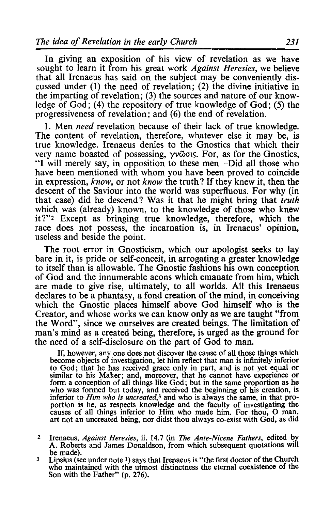In giving an exposition of his view of revelation as we have sought to learn it from his great work *Against Heresies,* we believe that all Irenaeus has said on the subject may be conveniently discussed under (1) the need of revelation; (2) the divine initiative in the imparting of revelation; (3) the sources and nature of our knowledge of  $God$ ; (4) the repository of true knowledge of  $God$ ; (5) the progressiveness of revelation; and (6) the end of revelation.

I. Men *need* revelation because of their lack of true knowledge. The content of revelation, therefore, whatever else it may be, is true knowledge. Irenaeus denies to the Gnostics that which their very name boasted of possessing, γνῶσις. For, as for the Gnostics, "I will merely say, in opposition to these men-Did all those who have been mentioned with whom you have been proved to coincide in expression, *know,* or not *know* the truth? If they knew it, then the descent of the Saviour into the world was superfluous. For why (in that case) did he descend? Was it that he might bring that *truth*  which was (already) known, to the knowledge of those who knew it ?"2 Except as bringing true knowledge, therefore, which the race does not possess, the incarnation is, in Irenaeus' opinion, useless and beside the point.

The root error in Gnosticism, which our apologist seeks to lay bare in it, is pride or self-conceit, in arrogating a greater knowledge to itself than is allowable. The Gnostic fashions his own conception of God and the innumerable aeons which emanate from him, which are made to give rise, ultimately, to all worlds. All this Irenaeus declares to be a phantasy, a fond creation of the mind, in conceiving which the Gnostic places himself above God himself who is the Creator, and whose works we can know only as we are taught "from the Word", since we ourselves are created beings. The limitation of man's mind as a created being, therefore, is urged as the ground for the need of a self-disclosure on the part of God to man.

If, however, any one does not discover the cause of all those things which become objects of investigation, let him reflect that man is infinitely inferior to God; that he has received grace only in part, and is not yet equal or similar to his Maker; and, moreover, that he cannot have experience or form a conception of all things like God; but in the same proportion as he who was formed but today, and received the beginning of his creation, is inferior to *Him who is uncreated*,<sup>3</sup> and who is always the same, in that pro-<br>portion is he, as respects knowledge and the faculty of investigating the causes of all things inferior to Him who made him. For thou, O man, art not an uncreated being, nor didst thou always co-exist with God, as did

- 2 Irenaeus, *Against Heresies,* ii. 14.7 (in *The Ante-Nicene Fathers,* edited by A. Roberts and James Donaldson, from which subsequent quotations will
- $3$  Lipsius (see under note 1) says that Irenaeus is "the first doctor of the Church who maintained with the utmost distinctness the eternal coexistence of the Son with the Father" (p. 276).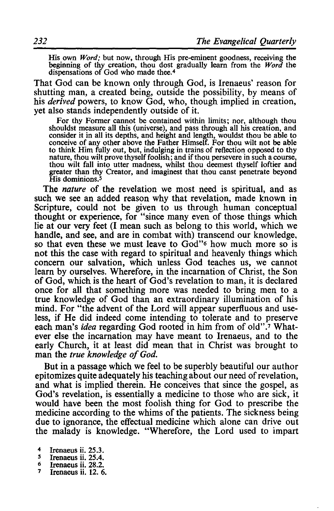His own *Word;* but now, through His pre-eminent goodness, receiving the beginning of thy creation, thou dost gradually learn from the *Word* the dispensations of God who made thee.4

That God can be known only through God, is Irenaeus' reason for shutting man, a created being, outside the possibility, by means of his *derived* powers, to know God, who, though implied in creation, yet also stands independently outside of it.

For thy Former cannot be contained within limits; nor, although thou shouldst measure all this (universe), and pass through all his creation, and consider it in all its depths, and height and length, wouldst thou be able to conceive of any other above the Father Himself. For thou wilt not be able to think Him fully out, but, indulging in trains of reflection opposed to thy nature, thou wilt prove thyself foolish; and if thou persevere in such a course, thou wilt fall into utter madness, whilst thou deemest thyself loftier and greater than thy Creator, and imaginest that thou canst penetrate beyond His dominions.<sup>5</sup>

The *nature* of the revelation we most need is spiritual, and as such we see an added reason why that revelation, made known in Scripture, could not be given to us through human conceptual thought or experience, for "since many even of those things which lie at our very feet (I mean such as belong to this world, which we handle, and see, and are in combat with) transcend our knowledge. so that even these we must leave to God"<sup>6</sup> how much more so is not this the case with regard to spiritual and heavenly things which concern our salvation, which unless God teaches us, we cannot learn by ourselves. Wherefore, in the incarnation of Christ, the Son of God, which is the heart of God's revelation to man, it is declared once for all that something more was needed to bring men to a true knowledge of God than an extraordinary illumination of his mind. For "the advent of the Lord will appear superfluous and useless, if He did indeed come intending to tolerate and to preserve each man's *idea* regarding God rooted in him from of 0Id".7 Whatever else the incarnation may have meant to Irenaeus, and to the early Church, it at least did mean that in Christ was brought to man the *true knowledge of God.* 

But in a passage which we feel to be superbly beautiful our author epitomizes quite adequately his teaching about our need of revelation, and what is implied therein. He conceives that since the gospel, as God's revelation, is essentially a medicine to those who are sick, it would have been the most foolish thing for God to prescribe the medicine according to the whims of the patients. The sickness being due to ignorance, the effectual medicine which alone can drive out the malady is knowledge. "Wherefore, the Lord used to impart

- <sup>5</sup> Irenaeus ii. 25.4.<br><sup>6</sup> Irenaeus ii. 28.2.<br><sup>7</sup> Irenaeus ii. 12. 6.
- 

<sup>4</sup> Irenaeus ii.  $25.3$ .<br>5 Irenaeus ii.  $25.4$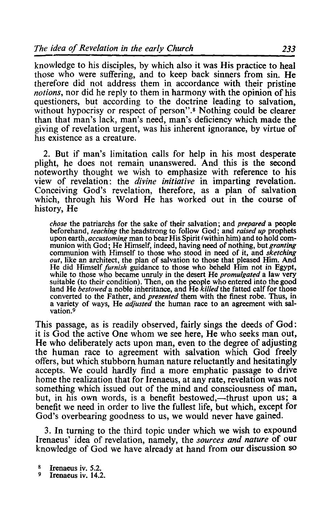knowledge to his disciples, by which also it was His practice to heal those who were suffering, and to keep back sinners from sin. He therefore did not address them in accordance with their pristine *notions*, nor did he reply to them in harmony with the opinion of his questioners, but according to the doctrine leading to salvation, without hypocrisy or respect of person".<sup>8</sup> Nothing could be clearer than that man's lack, man's need, man's deficiency which made the giving of revelation urgent, was his inherent ignorance, by virtue of his existence as a creature.

2. But if man's limitation calls for help in his most desperate plight, he does not remain unanswered. And this is the second noteworthy thought we wish to emphasize with reference to his view of revelation: the *divine initiative* in imparting revelation. Conceiving God's revelation, therefore, as a plan of salvation which, through his Word He has worked out in the course of history, He

*chose* the patriarchs for the sake of their salvation; and *prepared* a people beforehand, *teaching* the headstrong to follow God; and *raised up* prophets munion with God; He Himself, indeed, having need of nothing, but *granting* munion with God; He Himself, indeed, having need of nothing, but *granting* communion with Himself to those who stood in need of it, and *sketching out*, like an architect, the plan of salvation to those that pleased Him. And He did Himself *furnish* guidance to those who beheld Him not in Egypt, He did Himself *furnish* guidance to those who beheld Him not in Egypt, while to those who became unruly in the desert He *promulgated* a law very suitable (to their condition). Then, on the people who entered into the goo land He *bestowed* a noble inheritance, and He *killed* the fatted calf for those converted to the Father, and *presented* them with the finest robe. Thus, in a variety of ways, He *adjusted* the human race to an agreement with salvation.9

This passage, as is readily observed, fairly sings the deeds of God: it is God the active One whom we see here, He who seeks man out, He who deliberately acts upon man, even to the degree of adjusting the human race to agreement with salvation which God freely offers, but which stubborn human nature reluctantly and hesitatingly accepts. We could hardly find a more emphatic passage to drive home the realization that for Irenaeus, at any rate, revelation was not something which issued out of the mind and consciousness of man, but, in his own words, is a benefit bestowed,—thrust upon us; a benefit we need in order to live the fullest life, but which, except for God's overbearing goodness to us, we would never have gained.

3. **In** turning to the third topic under which we wish to expound Irenaeus' idea of revelation, namely, the *sources and nature* of our knowledge of God we have already at hand from our discussion so

 $\frac{8}{9}$  Irenaeus iv. 5.2.<br>9 Irenaeus iv. 14.2.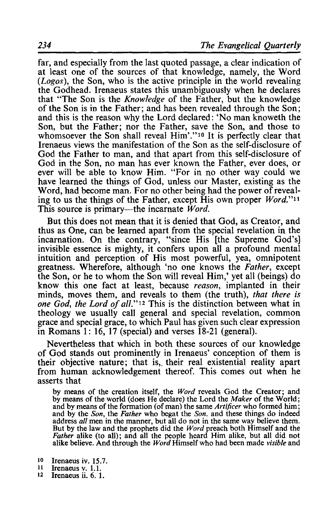far, and especially from the last quoted passage, a clear indication of at least one of the sources of that knowledge, namely, the Word *(Logos),* the Son, who is the active principle in the world revealing the Godhead. Irenaeus states this unambiguously when he declares that "The Son is the *Knowledge* of the Father, but the knowledge of the Son is in the Father; and has been revealed through the Son; and this is the reason why the Lord declared: 'No man knoweth the Son, but the Father; nor the Father, save the Son, and those to whomsoever the Son shall reveal Him'."<sup>10</sup> It is perfectly clear that Irenaeus views the manifestation of the Son as the self-disclosure of God the Father to man, and that apart from this self-disclosure of God in the Son, no man has ever known the Father, ever does, or ever will be able to know Him. "For in no other way could we have learned the things of God, unless our Master, existing as the Word, had become man. For no other being had the power of revealing to us the things of the Father, except His own proper *Word."ll*  This source is primary—the incarnate *Word*.

But this does not mean that it is denied that God, as Creator, and thus as One, can be learned apart from the special revelation in the incarnation. On the contrary, "since His [the Supreme God's] invisible essence is mighty, it confers upon all a profound mental intuition and perception of His most powerful, yea, omnipotent greatness. Wherefore, although 'no one knows the *Father,* except the Son, or he to whom the Son will reveal Him,' yet all (beings) do know this one fact at least, because *reason,* implanted in their minds, moves them, and reveals to them (the truth), *that there is one God, the Lord of all."* 12 This is the distinction between what in theology we usually call general and special revelation, common grace and special grace, to which Paul has given such clear expression in Romans 1: 16, 17 (special) and verses  $18-21$  (general).

Nevertheless that which in both these sources of our knowledge of God stands out prominently in Irenaeus' conception of them is their objective nature; that is, their real existential reality apart from human acknowledgement thereof. This comes out when he asserts that

by means of the creation itself, the *Word* reveals God the Creator; and by means of the world (does He declare) the Lord the *Maker* of the World; and by means of the formation (of man) the same *Artificer* who formed him; and by the *Son,* the *Father* who begat the *Son.* and these things do indeed address *all* men in the manner, but all do not in the same way believe them. But by the law and the prophets did the *Word* preach both Himself and the *Father* alike (to all); and all the people heard Him alike, but all did not alike believe. And through the *Word* Himself who had been made *visible* and

- <sup>10</sup> Irenaeus iv. 15.7.<br><sup>11</sup> Irenaeus v. 1.1.<br><sup>12</sup> Irenaeus ii. 6. 1.
- 
-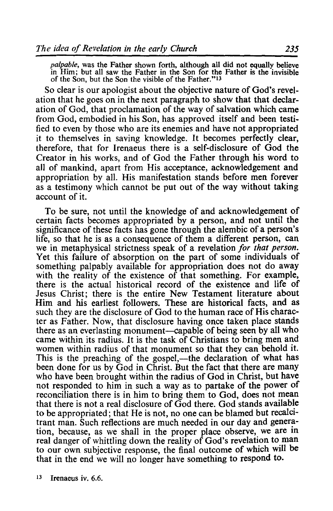*palpable,* was the Father shown forth, although all did not equally believe in Him; but all saw the Father in the Son for the Father is the invisible of the Son, but the Son the visible of the Father."13

So clear is our apologist about the objective nature of God's revelation that he goes on in the next paragraph to show that that declaration of God, that proclamation of the way of salvation which came from God, embodied in his Son, has approved itself and been testified to even by those who are its enemies and have not appropriated it to themselves in saving knowledge. It becomes perfectly clear, therefore, that for Irenaeus there is a self-disclosure of God the Creator in his works, and of God the Father through his word to all of mankind, apart from His acceptance, acknowledgement and appropriation by all. His manifestation stands before men forever as a testimony which cannot be put out of the way without taking account of it.

To be sure, not until the knowledge of and acknowledgement of certain facts becomes appropriated by a person, and not until the significance of these facts has gone through the alembic of a person's life, so that he is as a consequence of them a different person, can we in metaphysical strictness speak of a revelation *for that person.*  Yet this failure of absorption on the part of some individuals of something palpably available for appropriation does not do away with the reality of the existence of that something. For example, there is the actual historical record of the existence and life of Jesus Christ; there is the entire New Testament literature about Him and his earliest followers. These are historical facts, and as such they are the disclosure of God to the human race of His character as Father. Now, that disclosure having once taken place stands there as an everlasting monument—capable of being seen by all who came within its radius. It is the task of Christians to bring men and women within radius of that monument so that they can behold it. This is the preaching of the gospel,—the declaration of what has been done for us by God in Christ. But the fact that there are many who have been brought within the radius of God in Christ, but have not responded to him in such a way as to partake of the power of reconciliation there is in him to bring them to God, does not mean that there is not a real disclosure of God there. God stands available to be appropriated; that He is not, no one can be blamed but recalcitrant man. Such reflections are much needed in our day and generation, because, as we shall in the proper place observe, we are in real danger of whittling down the reality of God's revelation to man to our own subjective response, the final outcome of which will be that in the end we will no longer have something to respond to.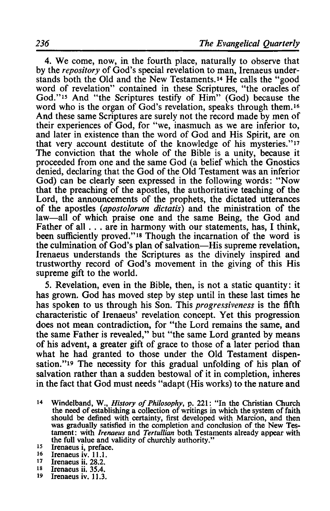4. We come, now, in the fourth place, naturally to observe that by the *repository* of God's special revelation to man, Irenaeus understands both the Old and the New Testaments. 14 He calls the "good word of revelation" contained in these Scriptures, "the oracles of God."15 And "the Scriptures testify of Him" (God) because the word who is the organ of God's revelation, speaks through them.<sup>16</sup> And these same Scriptures are surely not the record made by men of their experiences of God, for "we, inasmuch as we are inferior to, and later in existence than the word of God and His Spirit, are on that very account destitute of the knowledge of his mysteries."17 The conviction that the whole of the Bible is a unity, because it proceeded from one and the same God (a belief which the Gnostics denied, declaring that the God of the Old Testament was an inferior God) can be clearly seen expressed in the following words: "Now that the preaching of the apostles, the authoritative teaching of the Lord, the announcements of the prophets, the dictated utterances of the apostles *(aposto!orum dictatis)* and the ministration of the law—all of which praise one and the same Being, the God and Father of all . . . are in harmony with our statements, has, I think, been sufficiently proved."<sup>18</sup> Though the incarnation of the word is the culmination of God's plan of salvation-His supreme revelation, Irenaeus understands the Scriptures as the divinely inspired and trustworthy record of God's movement in the giving of this His supreme gift to the world.

5. Revelation, even in the Bible, then, is not a static quantity: it has grown. God has moved step by step until in these last times he has spoken to us through his Son. This *progressiveness* is the fifth characteristic of Irenaeus' revelation concept. Yet this progression does not mean contradiction, for "the Lord remains the same, and the same Father is revealed," but "the same Lord granted by means of his advent, a greater gift of grace to those of a later period than what he had granted to those under the Old Testament dispensation."19 The necessity for this gradual unfolding of his plan of salvation rather than a sudden bestowal of it in completion, inheres in the fact that God must needs "adapt (His works) to the nature and

- 14 Windelband, W., *History of Philosophy,* p. 221: "In the Christian Church the need of establishing a collection of writings in which the system of faith should be defined with certainty, first developed with Marcion, and then was gradually satisfied in the completion and conclusion of the New Testament: with *Irenaeus* and *Tertullian* both Testaments already appear with the full value and validity of churchly authority."<br>
<sup>15</sup> Irenaeus i, preface.<br>
16 Irenaeus iv. 11.1.<br>
<sup>16</sup> Irenaeus ii. 28.2.
- 
- 
- 17 Irenaeus ii. 28.2.<br>18 Irenaeus ii. 35.4
- $18$  Irenaeus ii. 35.4.<br> $19$  Irenaeus iv. 11.3
- Irenaeus iv. 11.3.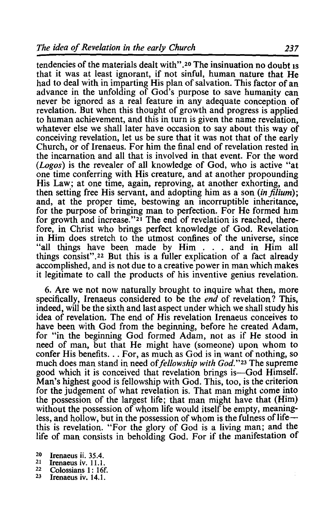tendencies of the materials dealt with".<sup>20</sup> The insinuation no doubt is that it was at least ignorant, if not sinful, human nature that He had to deal with in imparting His plan of salvation. This factor of an advance in the unfolding of God's purpose to save humanity can never be ignored as a real feature in any adequate conception of revelation. But when this thought of growth and progress is applied to human achievement, and this in turn is given the name revelation, whatever else we shall later have occasion to say about this way of conceiving revelation, let us be sure that it was not that of the early Church, or of Irenaeus. For him the final end of revelation rested in the incarnation and all that is involved in that event. For the word (*Logos*) is the revealer of all knowledge of God, who is active "at one time conferring with His creature, and at another propounding His Law; at one time, again, reproving, at another exhorting, and then setting free His servant, and adopting him as a son *(in filium)*; and, at the proper time, bestowing an incorruptible inheritance, for the purpose of bringing man to perfection. For He formed him for growth and increase."21 The end of revelation is reached, therefore, in Christ who brings perfect knowledge of God. Revelation in Him does stretch to the utmost confines of the universe, since "all things have been made by Him . . . and in Him all things consist" .22 But this is a fuller explication of a fact already accomplished, and is not due to a creative power in man which makes it legitimate to call the products of his inventive genius revelation.

6. Are we not now naturally brought to inquire what then, more specifically, Irenaeus considered to be the *end* of revelation? This, indeed, will be the sixth and last aspect under which we shall study his idea of revelation. The end of His revelation Irenaeus conceives to have been with God from the beginning, before he created Adam, for "in the beginning God formed Adam, not as if He stood in need of man, but that He might have (someone) upon whom to confer His benefits ... For, as much as God is in want of nothing, so much does man stand in need of *fellowship with God.*"<sup>23</sup> The supreme good which it is conceived that revelation brings is-God Himself. Man's highest good is fellowship with God. This, too, is the criterion for the judgement of what revelation is. That man might come into the possession of the largest life; that man might have that (Him) without the possession of whom life would itself be empty, meaningless, and hollow, but in the possession of whom is the fulness of life-this is revelation. "For the glory of God is a living man; and the life of man consists in beholding God. For if the manifestation of

- 20 Irenaeus ii.  $35.4$ .<br>21 Irenaeus iv. 11.1
- <sup>21</sup> Irenaeus iv. 11.1.<br><sup>22</sup> Colessions 1: 16<sup>4</sup>
- $22 \text{ Colossians} 1: 16f.$ <br>
<sup>23</sup> Irenaeus iv. 14.1.
-